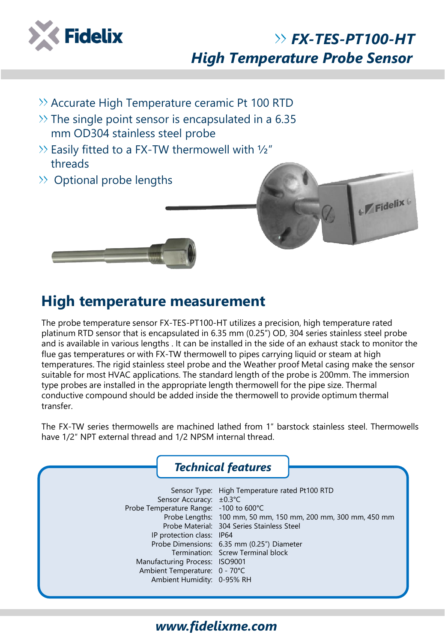

## *FX-TES-PT100-HT High Temperature Probe Sensor*

- $\rightarrow$  Accurate High Temperature ceramic Pt 100 RTD
- $\gg$  The single point sensor is encapsulated in a 6.35 mm OD304 stainless steel probe
- $\gg$  Easily fitted to a FX-TW thermowell with  $\frac{1}{2}$ " threads
- $\gg$  Optional probe lengths





### **High temperature measurement**

The probe temperature sensor FX-TES-PT100-HT utilizes a precision, high temperature rated platinum RTD sensor that is encapsulated in 6.35 mm (0.25") OD, 304 series stainless steel probe and is available in various lengths . It can be installed in the side of an exhaust stack to monitor the flue gas temperatures or with FX-TW thermowell to pipes carrying liquid or steam at high temperatures. The rigid stainless steel probe and the Weather proof Metal casing make the sensor suitable for most HVAC applications. The standard length of the probe is 200mm. The immersion type probes are installed in the appropriate length thermowell for the pipe size. Thermal conductive compound should be added inside the thermowell to provide optimum thermal transfer.

The FX-TW series thermowells are machined lathed from 1″ barstock stainless steel. Thermowells have 1/2″ NPT external thread and 1/2 NPSM internal thread.



### *www.fidelixme.com*